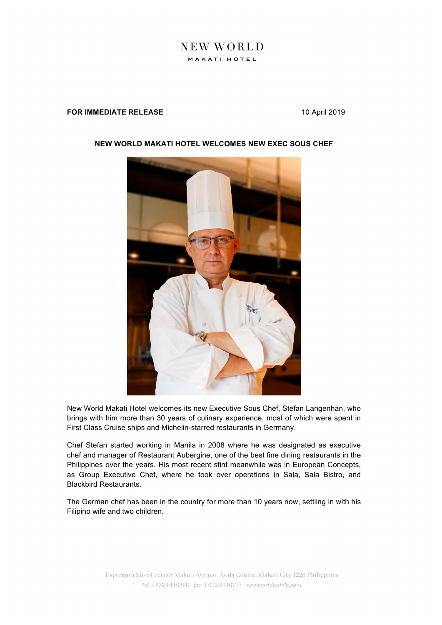## NEW WORLD MAKATI HOTEL

## **FOR IMMEDIATE RELEASE** 10 April 2019



## **NEW WORLD MAKATI HOTEL WELCOMES NEW EXEC SOUS CHEF**

New World Makati Hotel welcomes its new Executive Sous Chef, Stefan Langenhan, who brings with him more than 30 years of culinary experience, most of which were spent in First Class Cruise ships and Michelin-starred restaurants in Germany.

Chef Stefan started working in Manila in 2008 where he was designated as executive chef and manager of Restaurant Aubergine, one of the best fine dining restaurants in the Philippines over the years. His most recent stint meanwhile was in European Concepts, as Group Executive Chef, where he took over operations in Sala, Sala Bistro, and Blackbird Restaurants.

The German chef has been in the country for more than 10 years now, settling in with his Filipino wife and two children.